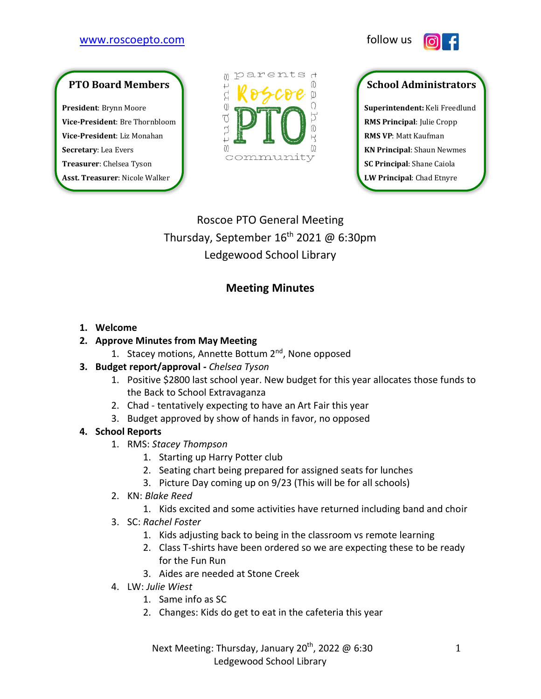### [www.roscoepto.com](http://www.roscoepto.com/) follow us



# **PTO Board Members**

**President**: Brynn Moore **Vice-President**: Bre Thornbloom **Vice-President**: Liz Monahan **Secretary**: Lea Evers **Treasurer**: Chelsea Tyson **Asst. Treasurer**: Nicole Walker



# **School Administrators**

**Superintendent:** Keli Freedlund **RMS Principal**: Julie Cropp **RMS VP**: Matt Kaufman **KN Principal**: Shaun Newmes **SC Principal**: Shane Caiola **LW Principal**: Chad Etnyre

Roscoe PTO General Meeting Thursday, September 16<sup>th</sup> 2021 @ 6:30pm Ledgewood School Library

## **Meeting Minutes**

#### **1. Welcome**

#### **2. Approve Minutes from May Meeting**

- 1. Stacey motions, Annette Bottum 2<sup>nd</sup>, None opposed
- **3. Budget report/approval -** *Chelsea Tyson*
	- 1. Positive \$2800 last school year. New budget for this year allocates those funds to the Back to School Extravaganza
	- 2. Chad tentatively expecting to have an Art Fair this year
	- 3. Budget approved by show of hands in favor, no opposed

#### **4. School Reports**

- 1. RMS: *Stacey Thompson*
	- 1. Starting up Harry Potter club
	- 2. Seating chart being prepared for assigned seats for lunches
	- 3. Picture Day coming up on 9/23 (This will be for all schools)
- 2. KN: *Blake Reed*
	- 1. Kids excited and some activities have returned including band and choir
- 3. SC: *Rachel Foster*
	- 1. Kids adjusting back to being in the classroom vs remote learning
	- 2. Class T-shirts have been ordered so we are expecting these to be ready for the Fun Run
	- 3. Aides are needed at Stone Creek
- 4. LW: *Julie Wiest*
	- 1. Same info as SC
	- 2. Changes: Kids do get to eat in the cafeteria this year

Next Meeting: Thursday, January 20<sup>th</sup>, 2022 @ 6:30 Ledgewood School Library